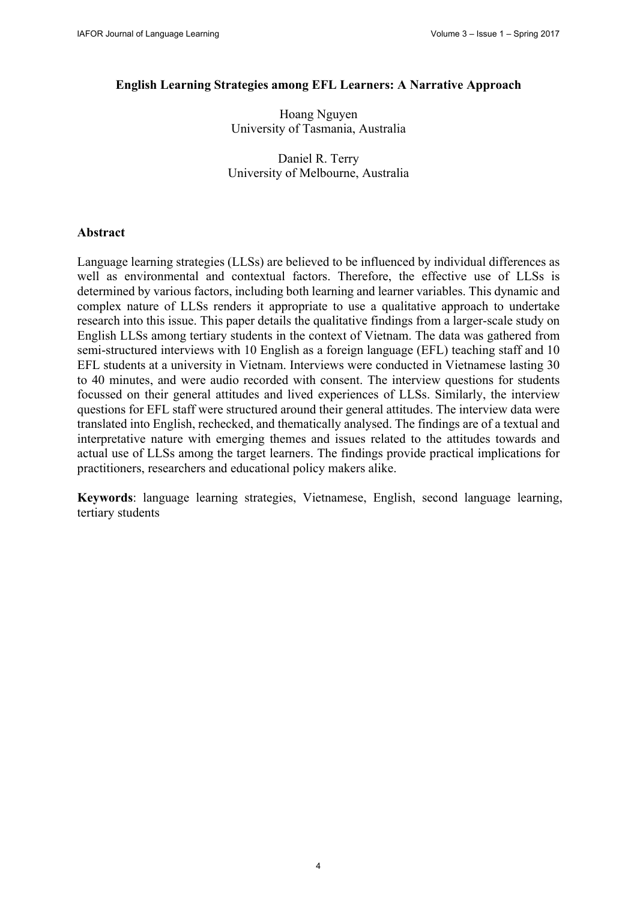#### **English Learning Strategies among EFL Learners: A Narrative Approach**

Hoang Nguyen University of Tasmania, Australia

Daniel R. Terry University of Melbourne, Australia

#### **Abstract**

Language learning strategies (LLSs) are believed to be influenced by individual differences as well as environmental and contextual factors. Therefore, the effective use of LLSs is determined by various factors, including both learning and learner variables. This dynamic and complex nature of LLSs renders it appropriate to use a qualitative approach to undertake research into this issue. This paper details the qualitative findings from a larger-scale study on English LLSs among tertiary students in the context of Vietnam. The data was gathered from semi-structured interviews with 10 English as a foreign language (EFL) teaching staff and 10 EFL students at a university in Vietnam. Interviews were conducted in Vietnamese lasting 30 to 40 minutes, and were audio recorded with consent. The interview questions for students focussed on their general attitudes and lived experiences of LLSs. Similarly, the interview questions for EFL staff were structured around their general attitudes. The interview data were translated into English, rechecked, and thematically analysed. The findings are of a textual and interpretative nature with emerging themes and issues related to the attitudes towards and actual use of LLSs among the target learners. The findings provide practical implications for practitioners, researchers and educational policy makers alike.

**Keywords**: language learning strategies, Vietnamese, English, second language learning, tertiary students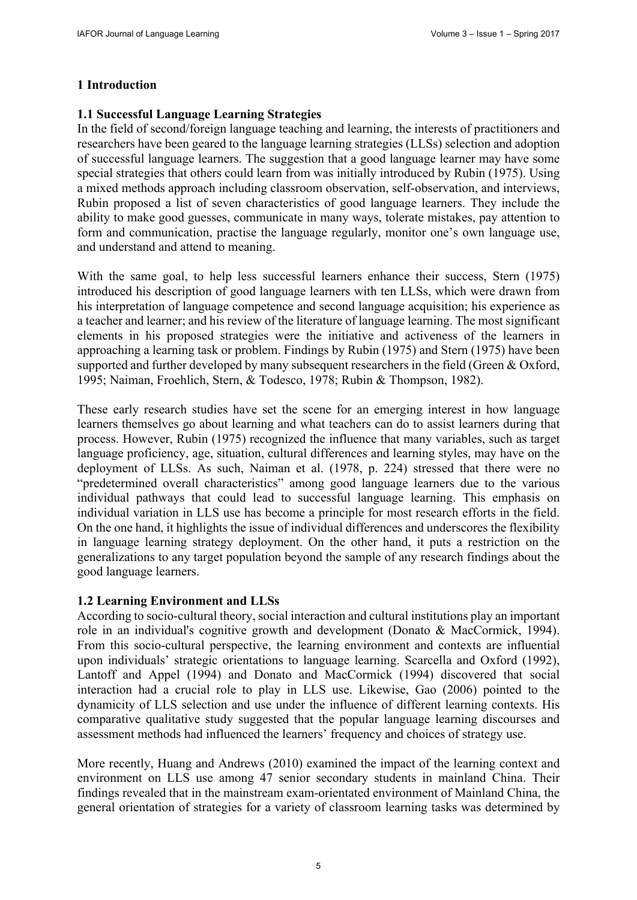# **1 Introduction**

### **1.1 Successful Language Learning Strategies**

In the field of second/foreign language teaching and learning, the interests of practitioners and researchers have been geared to the language learning strategies (LLSs) selection and adoption of successful language learners. The suggestion that a good language learner may have some special strategies that others could learn from was initially introduced by Rubin (1975). Using a mixed methods approach including classroom observation, self-observation, and interviews, Rubin proposed a list of seven characteristics of good language learners. They include the ability to make good guesses, communicate in many ways, tolerate mistakes, pay attention to form and communication, practise the language regularly, monitor one's own language use, and understand and attend to meaning.

With the same goal, to help less successful learners enhance their success, Stern (1975) introduced his description of good language learners with ten LLSs, which were drawn from his interpretation of language competence and second language acquisition; his experience as a teacher and learner; and his review of the literature of language learning. The most significant elements in his proposed strategies were the initiative and activeness of the learners in approaching a learning task or problem. Findings by Rubin (1975) and Stern (1975) have been supported and further developed by many subsequent researchers in the field (Green & Oxford, 1995; Naiman, Froehlich, Stern, & Todesco, 1978; Rubin & Thompson, 1982).

These early research studies have set the scene for an emerging interest in how language learners themselves go about learning and what teachers can do to assist learners during that process. However, Rubin (1975) recognized the influence that many variables, such as target language proficiency, age, situation, cultural differences and learning styles, may have on the deployment of LLSs. As such, Naiman et al. (1978, p. 224) stressed that there were no "predetermined overall characteristics" among good language learners due to the various individual pathways that could lead to successful language learning. This emphasis on individual variation in LLS use has become a principle for most research efforts in the field. On the one hand, it highlights the issue of individual differences and underscores the flexibility in language learning strategy deployment. On the other hand, it puts a restriction on the generalizations to any target population beyond the sample of any research findings about the good language learners.

## **1.2 Learning Environment and LLSs**

According to socio-cultural theory, social interaction and cultural institutions play an important role in an individual's cognitive growth and development (Donato & MacCormick, 1994). From this socio-cultural perspective, the learning environment and contexts are influential upon individuals' strategic orientations to language learning. Scarcella and Oxford (1992), Lantoff and Appel (1994) and Donato and MacCormick (1994) discovered that social interaction had a crucial role to play in LLS use. Likewise, Gao (2006) pointed to the dynamicity of LLS selection and use under the influence of different learning contexts. His comparative qualitative study suggested that the popular language learning discourses and assessment methods had influenced the learners' frequency and choices of strategy use.

More recently, Huang and Andrews (2010) examined the impact of the learning context and environment on LLS use among 47 senior secondary students in mainland China. Their findings revealed that in the mainstream exam-orientated environment of Mainland China, the general orientation of strategies for a variety of classroom learning tasks was determined by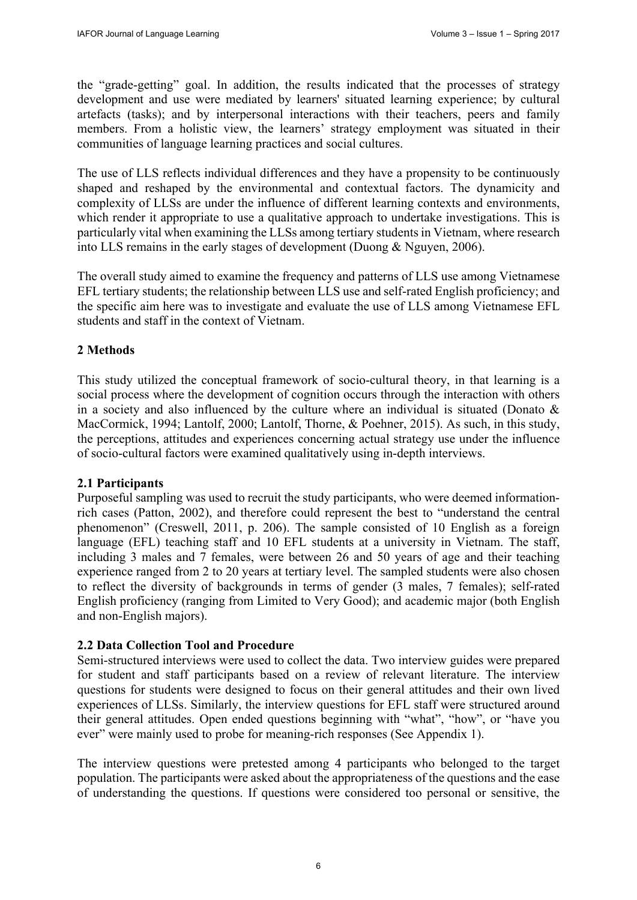the "grade-getting" goal. In addition, the results indicated that the processes of strategy development and use were mediated by learners' situated learning experience; by cultural artefacts (tasks); and by interpersonal interactions with their teachers, peers and family members. From a holistic view, the learners' strategy employment was situated in their communities of language learning practices and social cultures.

The use of LLS reflects individual differences and they have a propensity to be continuously shaped and reshaped by the environmental and contextual factors. The dynamicity and complexity of LLSs are under the influence of different learning contexts and environments, which render it appropriate to use a qualitative approach to undertake investigations. This is particularly vital when examining the LLSs among tertiary students in Vietnam, where research into LLS remains in the early stages of development (Duong & Nguyen, 2006).

The overall study aimed to examine the frequency and patterns of LLS use among Vietnamese EFL tertiary students; the relationship between LLS use and self-rated English proficiency; and the specific aim here was to investigate and evaluate the use of LLS among Vietnamese EFL students and staff in the context of Vietnam.

### **2 Methods**

This study utilized the conceptual framework of socio-cultural theory, in that learning is a social process where the development of cognition occurs through the interaction with others in a society and also influenced by the culture where an individual is situated (Donato  $\&$ MacCormick, 1994; Lantolf, 2000; Lantolf, Thorne, & Poehner, 2015). As such, in this study, the perceptions, attitudes and experiences concerning actual strategy use under the influence of socio-cultural factors were examined qualitatively using in-depth interviews.

#### **2.1 Participants**

Purposeful sampling was used to recruit the study participants, who were deemed informationrich cases (Patton, 2002), and therefore could represent the best to "understand the central phenomenon" (Creswell, 2011, p. 206). The sample consisted of 10 English as a foreign language (EFL) teaching staff and 10 EFL students at a university in Vietnam. The staff, including 3 males and 7 females, were between 26 and 50 years of age and their teaching experience ranged from 2 to 20 years at tertiary level. The sampled students were also chosen to reflect the diversity of backgrounds in terms of gender (3 males, 7 females); self-rated English proficiency (ranging from Limited to Very Good); and academic major (both English and non-English majors).

## **2.2 Data Collection Tool and Procedure**

Semi-structured interviews were used to collect the data. Two interview guides were prepared for student and staff participants based on a review of relevant literature. The interview questions for students were designed to focus on their general attitudes and their own lived experiences of LLSs. Similarly, the interview questions for EFL staff were structured around their general attitudes. Open ended questions beginning with "what", "how", or "have you ever" were mainly used to probe for meaning-rich responses (See Appendix 1).

The interview questions were pretested among 4 participants who belonged to the target population. The participants were asked about the appropriateness of the questions and the ease of understanding the questions. If questions were considered too personal or sensitive, the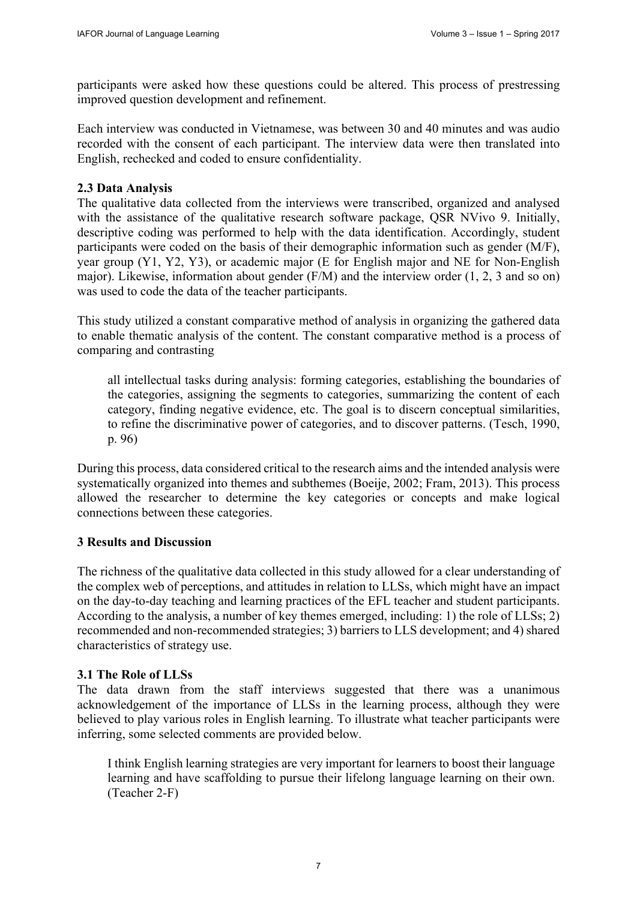participants were asked how these questions could be altered. This process of prestressing improved question development and refinement.

Each interview was conducted in Vietnamese, was between 30 and 40 minutes and was audio recorded with the consent of each participant. The interview data were then translated into English, rechecked and coded to ensure confidentiality.

#### **2.3 Data Analysis**

The qualitative data collected from the interviews were transcribed, organized and analysed with the assistance of the qualitative research software package, QSR NVivo 9. Initially, descriptive coding was performed to help with the data identification. Accordingly, student participants were coded on the basis of their demographic information such as gender (M/F), year group (Y1, Y2, Y3), or academic major (E for English major and NE for Non-English major). Likewise, information about gender (F/M) and the interview order (1, 2, 3 and so on) was used to code the data of the teacher participants.

This study utilized a constant comparative method of analysis in organizing the gathered data to enable thematic analysis of the content. The constant comparative method is a process of comparing and contrasting

all intellectual tasks during analysis: forming categories, establishing the boundaries of the categories, assigning the segments to categories, summarizing the content of each category, finding negative evidence, etc. The goal is to discern conceptual similarities, to refine the discriminative power of categories, and to discover patterns. (Tesch, 1990, p. 96)

During this process, data considered critical to the research aims and the intended analysis were systematically organized into themes and subthemes (Boeije, 2002; Fram, 2013). This process allowed the researcher to determine the key categories or concepts and make logical connections between these categories.

#### **3 Results and Discussion**

The richness of the qualitative data collected in this study allowed for a clear understanding of the complex web of perceptions, and attitudes in relation to LLSs, which might have an impact on the day-to-day teaching and learning practices of the EFL teacher and student participants. According to the analysis, a number of key themes emerged, including: 1) the role of LLSs; 2) recommended and non-recommended strategies; 3) barriers to LLS development; and 4) shared characteristics of strategy use.

#### **3.1 The Role of LLSs**

The data drawn from the staff interviews suggested that there was a unanimous acknowledgement of the importance of LLSs in the learning process, although they were believed to play various roles in English learning. To illustrate what teacher participants were inferring, some selected comments are provided below.

I think English learning strategies are very important for learners to boost their language learning and have scaffolding to pursue their lifelong language learning on their own. (Teacher 2-F)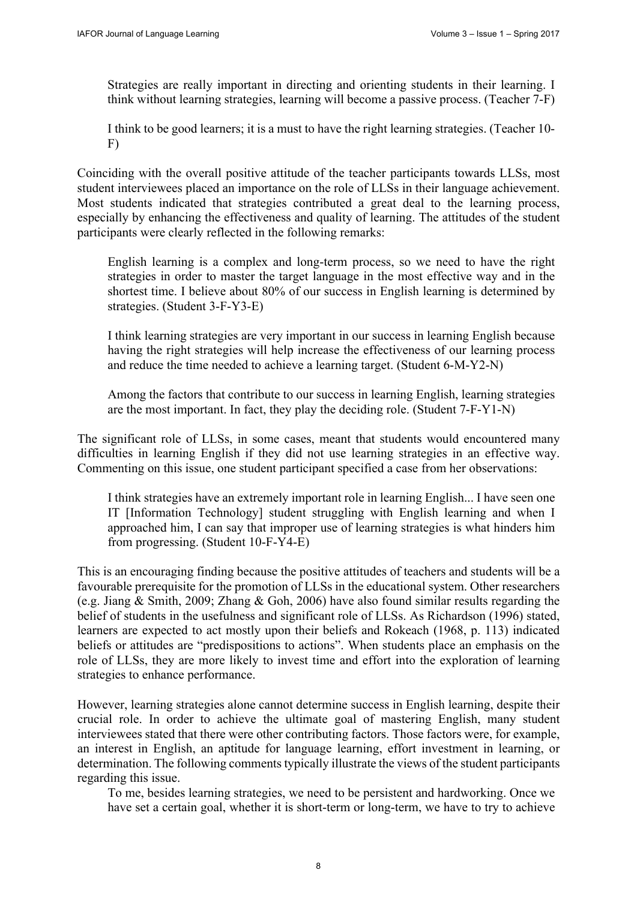Strategies are really important in directing and orienting students in their learning. I think without learning strategies, learning will become a passive process. (Teacher 7-F)

I think to be good learners; it is a must to have the right learning strategies. (Teacher 10- F)

Coinciding with the overall positive attitude of the teacher participants towards LLSs, most student interviewees placed an importance on the role of LLSs in their language achievement. Most students indicated that strategies contributed a great deal to the learning process, especially by enhancing the effectiveness and quality of learning. The attitudes of the student participants were clearly reflected in the following remarks:

English learning is a complex and long-term process, so we need to have the right strategies in order to master the target language in the most effective way and in the shortest time. I believe about 80% of our success in English learning is determined by strategies. (Student 3-F-Y3-E)

I think learning strategies are very important in our success in learning English because having the right strategies will help increase the effectiveness of our learning process and reduce the time needed to achieve a learning target. (Student 6-M-Y2-N)

Among the factors that contribute to our success in learning English, learning strategies are the most important. In fact, they play the deciding role. (Student 7-F-Y1-N)

The significant role of LLSs, in some cases, meant that students would encountered many difficulties in learning English if they did not use learning strategies in an effective way. Commenting on this issue, one student participant specified a case from her observations:

I think strategies have an extremely important role in learning English... I have seen one IT [Information Technology] student struggling with English learning and when I approached him, I can say that improper use of learning strategies is what hinders him from progressing. (Student 10-F-Y4-E)

This is an encouraging finding because the positive attitudes of teachers and students will be a favourable prerequisite for the promotion of LLSs in the educational system. Other researchers (e.g. Jiang & Smith, 2009; Zhang & Goh, 2006) have also found similar results regarding the belief of students in the usefulness and significant role of LLSs. As Richardson (1996) stated, learners are expected to act mostly upon their beliefs and Rokeach (1968, p. 113) indicated beliefs or attitudes are "predispositions to actions". When students place an emphasis on the role of LLSs, they are more likely to invest time and effort into the exploration of learning strategies to enhance performance.

However, learning strategies alone cannot determine success in English learning, despite their crucial role. In order to achieve the ultimate goal of mastering English, many student interviewees stated that there were other contributing factors. Those factors were, for example, an interest in English, an aptitude for language learning, effort investment in learning, or determination. The following comments typically illustrate the views of the student participants regarding this issue.

To me, besides learning strategies, we need to be persistent and hardworking. Once we have set a certain goal, whether it is short-term or long-term, we have to try to achieve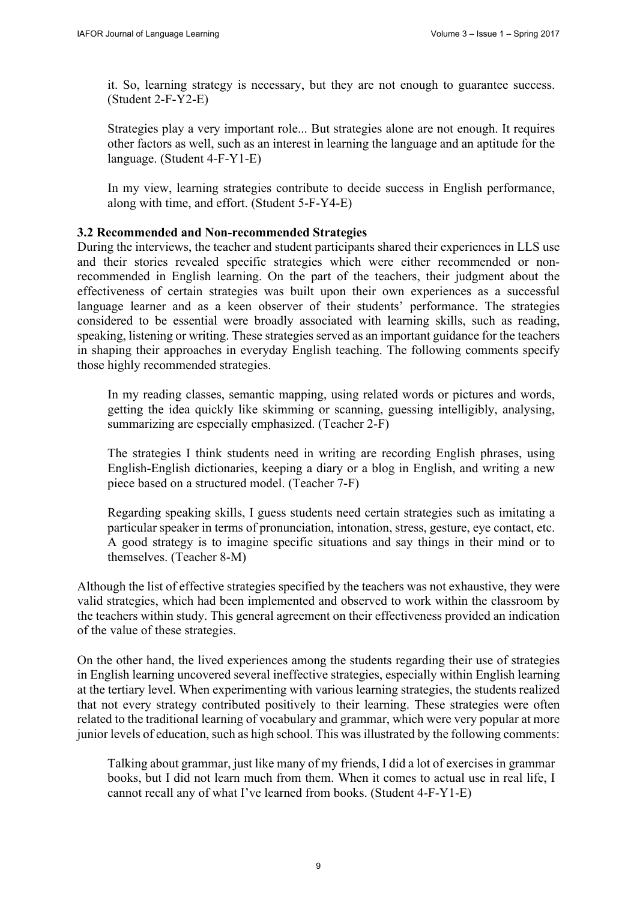it. So, learning strategy is necessary, but they are not enough to guarantee success. (Student 2-F-Y2-E)

Strategies play a very important role... But strategies alone are not enough. It requires other factors as well, such as an interest in learning the language and an aptitude for the language. (Student 4-F-Y1-E)

In my view, learning strategies contribute to decide success in English performance, along with time, and effort. (Student 5-F-Y4-E)

#### **3.2 Recommended and Non-recommended Strategies**

During the interviews, the teacher and student participants shared their experiences in LLS use and their stories revealed specific strategies which were either recommended or nonrecommended in English learning. On the part of the teachers, their judgment about the effectiveness of certain strategies was built upon their own experiences as a successful language learner and as a keen observer of their students' performance. The strategies considered to be essential were broadly associated with learning skills, such as reading, speaking, listening or writing. These strategies served as an important guidance for the teachers in shaping their approaches in everyday English teaching. The following comments specify those highly recommended strategies.

In my reading classes, semantic mapping, using related words or pictures and words, getting the idea quickly like skimming or scanning, guessing intelligibly, analysing, summarizing are especially emphasized. (Teacher 2-F)

The strategies I think students need in writing are recording English phrases, using English-English dictionaries, keeping a diary or a blog in English, and writing a new piece based on a structured model. (Teacher 7-F)

Regarding speaking skills, I guess students need certain strategies such as imitating a particular speaker in terms of pronunciation, intonation, stress, gesture, eye contact, etc. A good strategy is to imagine specific situations and say things in their mind or to themselves. (Teacher 8-M)

Although the list of effective strategies specified by the teachers was not exhaustive, they were valid strategies, which had been implemented and observed to work within the classroom by the teachers within study. This general agreement on their effectiveness provided an indication of the value of these strategies.

On the other hand, the lived experiences among the students regarding their use of strategies in English learning uncovered several ineffective strategies, especially within English learning at the tertiary level. When experimenting with various learning strategies, the students realized that not every strategy contributed positively to their learning. These strategies were often related to the traditional learning of vocabulary and grammar, which were very popular at more junior levels of education, such as high school. This was illustrated by the following comments:

Talking about grammar, just like many of my friends, I did a lot of exercises in grammar books, but I did not learn much from them. When it comes to actual use in real life, I cannot recall any of what I've learned from books. (Student 4-F-Y1-E)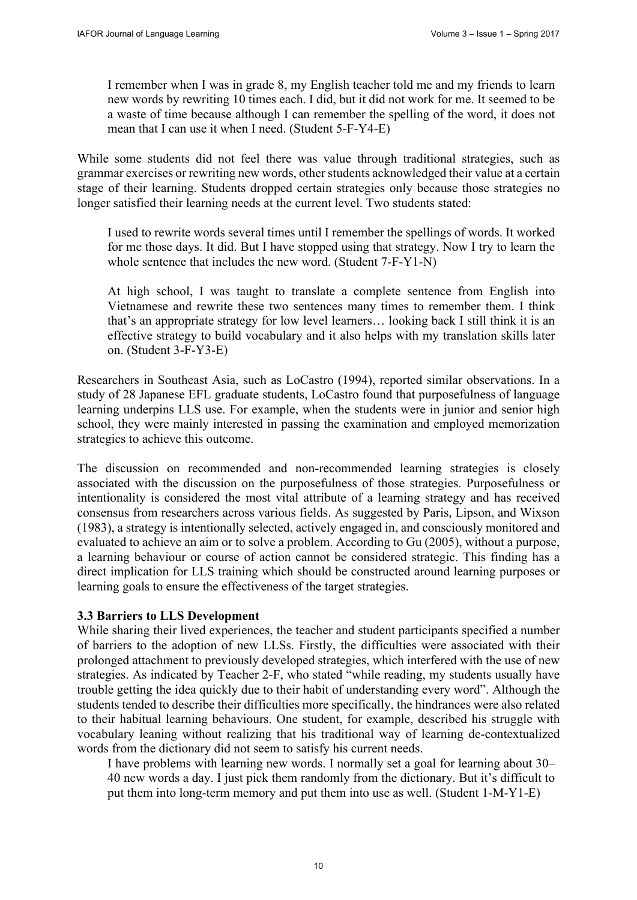I remember when I was in grade 8, my English teacher told me and my friends to learn new words by rewriting 10 times each. I did, but it did not work for me. It seemed to be a waste of time because although I can remember the spelling of the word, it does not mean that I can use it when I need. (Student 5-F-Y4-E)

While some students did not feel there was value through traditional strategies, such as grammar exercises or rewriting new words, other students acknowledged their value at a certain stage of their learning. Students dropped certain strategies only because those strategies no longer satisfied their learning needs at the current level. Two students stated:

I used to rewrite words several times until I remember the spellings of words. It worked for me those days. It did. But I have stopped using that strategy. Now I try to learn the whole sentence that includes the new word. (Student 7-F-Y1-N)

At high school, I was taught to translate a complete sentence from English into Vietnamese and rewrite these two sentences many times to remember them. I think that's an appropriate strategy for low level learners… looking back I still think it is an effective strategy to build vocabulary and it also helps with my translation skills later on. (Student 3-F-Y3-E)

Researchers in Southeast Asia, such as LoCastro (1994), reported similar observations. In a study of 28 Japanese EFL graduate students, LoCastro found that purposefulness of language learning underpins LLS use. For example, when the students were in junior and senior high school, they were mainly interested in passing the examination and employed memorization strategies to achieve this outcome.

The discussion on recommended and non-recommended learning strategies is closely associated with the discussion on the purposefulness of those strategies. Purposefulness or intentionality is considered the most vital attribute of a learning strategy and has received consensus from researchers across various fields. As suggested by Paris, Lipson, and Wixson (1983), a strategy is intentionally selected, actively engaged in, and consciously monitored and evaluated to achieve an aim or to solve a problem. According to Gu (2005), without a purpose, a learning behaviour or course of action cannot be considered strategic. This finding has a direct implication for LLS training which should be constructed around learning purposes or learning goals to ensure the effectiveness of the target strategies.

#### **3.3 Barriers to LLS Development**

While sharing their lived experiences, the teacher and student participants specified a number of barriers to the adoption of new LLSs. Firstly, the difficulties were associated with their prolonged attachment to previously developed strategies, which interfered with the use of new strategies. As indicated by Teacher 2-F, who stated "while reading, my students usually have trouble getting the idea quickly due to their habit of understanding every word". Although the students tended to describe their difficulties more specifically, the hindrances were also related to their habitual learning behaviours. One student, for example, described his struggle with vocabulary leaning without realizing that his traditional way of learning de-contextualized words from the dictionary did not seem to satisfy his current needs.

I have problems with learning new words. I normally set a goal for learning about 30– 40 new words a day. I just pick them randomly from the dictionary. But it's difficult to put them into long-term memory and put them into use as well. (Student 1-M-Y1-E)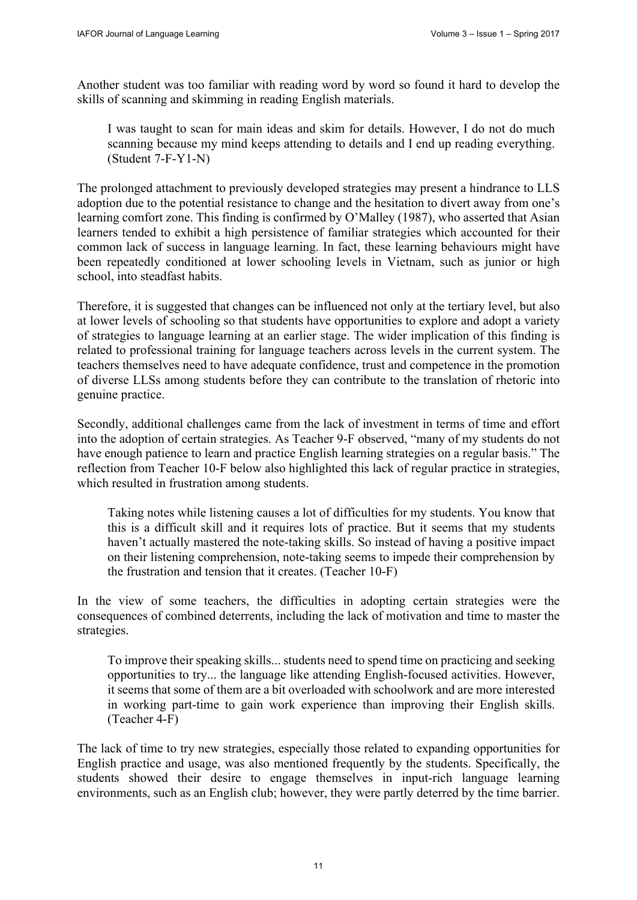Another student was too familiar with reading word by word so found it hard to develop the skills of scanning and skimming in reading English materials.

I was taught to scan for main ideas and skim for details. However, I do not do much scanning because my mind keeps attending to details and I end up reading everything. (Student 7-F-Y1-N)

The prolonged attachment to previously developed strategies may present a hindrance to LLS adoption due to the potential resistance to change and the hesitation to divert away from one's learning comfort zone. This finding is confirmed by O'Malley (1987), who asserted that Asian learners tended to exhibit a high persistence of familiar strategies which accounted for their common lack of success in language learning. In fact, these learning behaviours might have been repeatedly conditioned at lower schooling levels in Vietnam, such as junior or high school, into steadfast habits.

Therefore, it is suggested that changes can be influenced not only at the tertiary level, but also at lower levels of schooling so that students have opportunities to explore and adopt a variety of strategies to language learning at an earlier stage. The wider implication of this finding is related to professional training for language teachers across levels in the current system. The teachers themselves need to have adequate confidence, trust and competence in the promotion of diverse LLSs among students before they can contribute to the translation of rhetoric into genuine practice.

Secondly, additional challenges came from the lack of investment in terms of time and effort into the adoption of certain strategies. As Teacher 9-F observed, "many of my students do not have enough patience to learn and practice English learning strategies on a regular basis." The reflection from Teacher 10-F below also highlighted this lack of regular practice in strategies, which resulted in frustration among students.

Taking notes while listening causes a lot of difficulties for my students. You know that this is a difficult skill and it requires lots of practice. But it seems that my students haven't actually mastered the note-taking skills. So instead of having a positive impact on their listening comprehension, note-taking seems to impede their comprehension by the frustration and tension that it creates. (Teacher 10-F)

In the view of some teachers, the difficulties in adopting certain strategies were the consequences of combined deterrents, including the lack of motivation and time to master the strategies.

To improve their speaking skills... students need to spend time on practicing and seeking opportunities to try... the language like attending English-focused activities. However, it seems that some of them are a bit overloaded with schoolwork and are more interested in working part-time to gain work experience than improving their English skills. (Teacher 4-F)

The lack of time to try new strategies, especially those related to expanding opportunities for English practice and usage, was also mentioned frequently by the students. Specifically, the students showed their desire to engage themselves in input-rich language learning environments, such as an English club; however, they were partly deterred by the time barrier.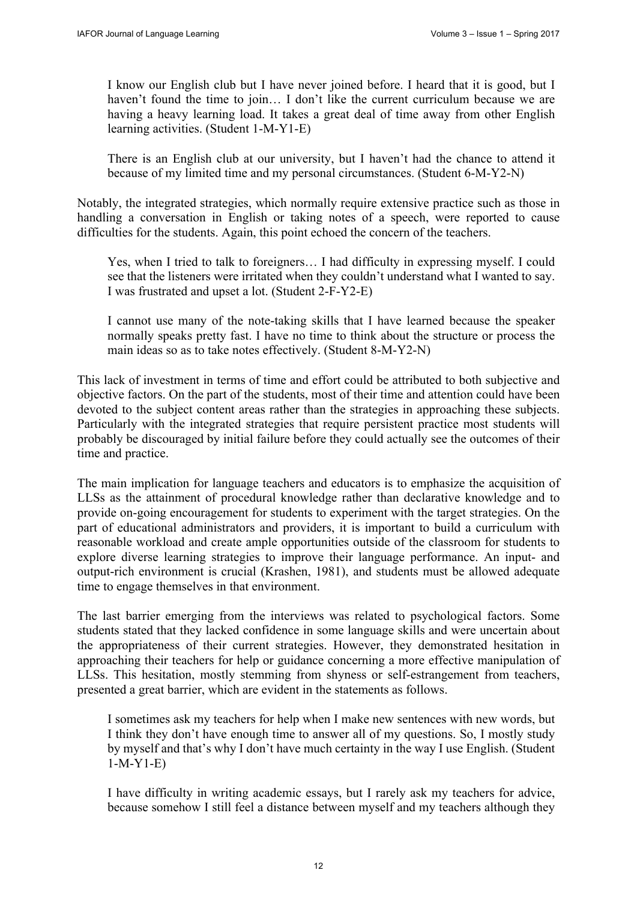I know our English club but I have never joined before. I heard that it is good, but I haven't found the time to join... I don't like the current curriculum because we are having a heavy learning load. It takes a great deal of time away from other English learning activities. (Student 1-M-Y1-E)

There is an English club at our university, but I haven't had the chance to attend it because of my limited time and my personal circumstances. (Student 6-M-Y2-N)

Notably, the integrated strategies, which normally require extensive practice such as those in handling a conversation in English or taking notes of a speech, were reported to cause difficulties for the students. Again, this point echoed the concern of the teachers.

Yes, when I tried to talk to foreigners… I had difficulty in expressing myself. I could see that the listeners were irritated when they couldn't understand what I wanted to say. I was frustrated and upset a lot. (Student 2-F-Y2-E)

I cannot use many of the note-taking skills that I have learned because the speaker normally speaks pretty fast. I have no time to think about the structure or process the main ideas so as to take notes effectively. (Student 8-M-Y2-N)

This lack of investment in terms of time and effort could be attributed to both subjective and objective factors. On the part of the students, most of their time and attention could have been devoted to the subject content areas rather than the strategies in approaching these subjects. Particularly with the integrated strategies that require persistent practice most students will probably be discouraged by initial failure before they could actually see the outcomes of their time and practice.

The main implication for language teachers and educators is to emphasize the acquisition of LLSs as the attainment of procedural knowledge rather than declarative knowledge and to provide on-going encouragement for students to experiment with the target strategies. On the part of educational administrators and providers, it is important to build a curriculum with reasonable workload and create ample opportunities outside of the classroom for students to explore diverse learning strategies to improve their language performance. An input- and output-rich environment is crucial (Krashen, 1981), and students must be allowed adequate time to engage themselves in that environment.

The last barrier emerging from the interviews was related to psychological factors. Some students stated that they lacked confidence in some language skills and were uncertain about the appropriateness of their current strategies. However, they demonstrated hesitation in approaching their teachers for help or guidance concerning a more effective manipulation of LLSs. This hesitation, mostly stemming from shyness or self-estrangement from teachers, presented a great barrier, which are evident in the statements as follows.

I sometimes ask my teachers for help when I make new sentences with new words, but I think they don't have enough time to answer all of my questions. So, I mostly study by myself and that's why I don't have much certainty in the way I use English. (Student 1-M-Y1-E)

I have difficulty in writing academic essays, but I rarely ask my teachers for advice, because somehow I still feel a distance between myself and my teachers although they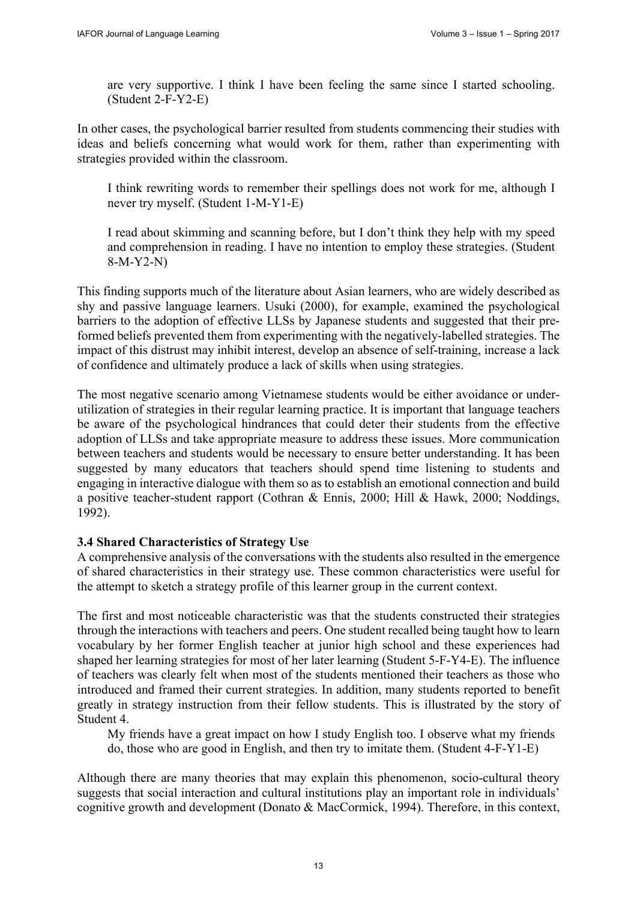are very supportive. I think I have been feeling the same since I started schooling. (Student 2-F-Y2-E)

In other cases, the psychological barrier resulted from students commencing their studies with ideas and beliefs concerning what would work for them, rather than experimenting with strategies provided within the classroom.

I think rewriting words to remember their spellings does not work for me, although I never try myself. (Student 1-M-Y1-E)

I read about skimming and scanning before, but I don't think they help with my speed and comprehension in reading. I have no intention to employ these strategies. (Student 8-M-Y2-N)

This finding supports much of the literature about Asian learners, who are widely described as shy and passive language learners. Usuki (2000), for example, examined the psychological barriers to the adoption of effective LLSs by Japanese students and suggested that their preformed beliefs prevented them from experimenting with the negatively-labelled strategies. The impact of this distrust may inhibit interest, develop an absence of self-training, increase a lack of confidence and ultimately produce a lack of skills when using strategies.

The most negative scenario among Vietnamese students would be either avoidance or underutilization of strategies in their regular learning practice. It is important that language teachers be aware of the psychological hindrances that could deter their students from the effective adoption of LLSs and take appropriate measure to address these issues. More communication between teachers and students would be necessary to ensure better understanding. It has been suggested by many educators that teachers should spend time listening to students and engaging in interactive dialogue with them so as to establish an emotional connection and build a positive teacher-student rapport (Cothran & Ennis, 2000; Hill & Hawk, 2000; Noddings, 1992).

#### **3.4 Shared Characteristics of Strategy Use**

A comprehensive analysis of the conversations with the students also resulted in the emergence of shared characteristics in their strategy use. These common characteristics were useful for the attempt to sketch a strategy profile of this learner group in the current context.

The first and most noticeable characteristic was that the students constructed their strategies through the interactions with teachers and peers. One student recalled being taught how to learn vocabulary by her former English teacher at junior high school and these experiences had shaped her learning strategies for most of her later learning (Student 5-F-Y4-E). The influence of teachers was clearly felt when most of the students mentioned their teachers as those who introduced and framed their current strategies. In addition, many students reported to benefit greatly in strategy instruction from their fellow students. This is illustrated by the story of Student 4.

My friends have a great impact on how I study English too. I observe what my friends do, those who are good in English, and then try to imitate them. (Student 4-F-Y1-E)

Although there are many theories that may explain this phenomenon, socio-cultural theory suggests that social interaction and cultural institutions play an important role in individuals' cognitive growth and development (Donato & MacCormick, 1994). Therefore, in this context,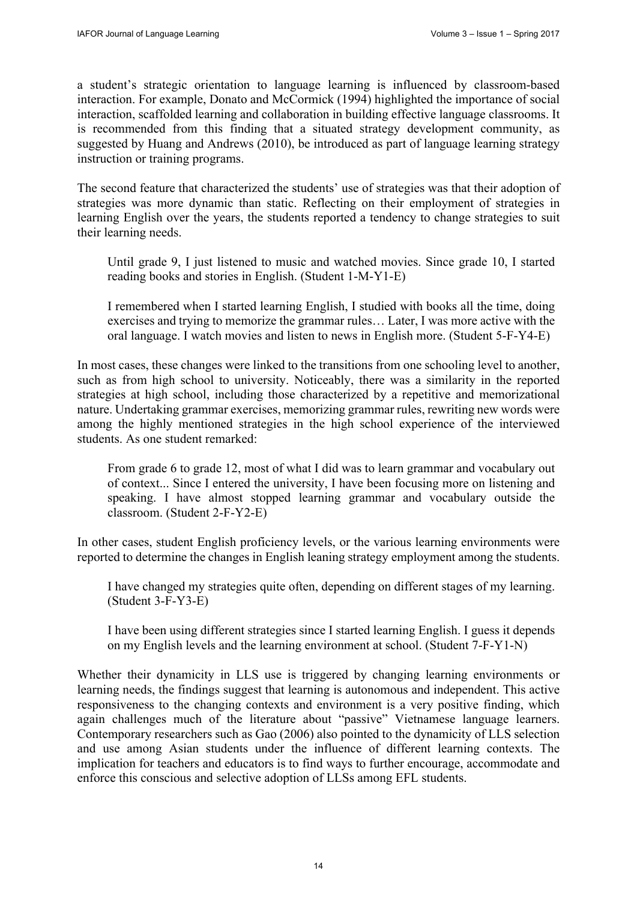a student's strategic orientation to language learning is influenced by classroom-based interaction. For example, Donato and McCormick (1994) highlighted the importance of social interaction, scaffolded learning and collaboration in building effective language classrooms. It is recommended from this finding that a situated strategy development community, as suggested by Huang and Andrews (2010), be introduced as part of language learning strategy instruction or training programs.

The second feature that characterized the students' use of strategies was that their adoption of strategies was more dynamic than static. Reflecting on their employment of strategies in learning English over the years, the students reported a tendency to change strategies to suit their learning needs.

Until grade 9, I just listened to music and watched movies. Since grade 10, I started reading books and stories in English. (Student 1-M-Y1-E)

I remembered when I started learning English, I studied with books all the time, doing exercises and trying to memorize the grammar rules… Later, I was more active with the oral language. I watch movies and listen to news in English more. (Student 5-F-Y4-E)

In most cases, these changes were linked to the transitions from one schooling level to another, such as from high school to university. Noticeably, there was a similarity in the reported strategies at high school, including those characterized by a repetitive and memorizational nature. Undertaking grammar exercises, memorizing grammar rules, rewriting new words were among the highly mentioned strategies in the high school experience of the interviewed students. As one student remarked:

From grade 6 to grade 12, most of what I did was to learn grammar and vocabulary out of context... Since I entered the university, I have been focusing more on listening and speaking. I have almost stopped learning grammar and vocabulary outside the classroom. (Student 2-F-Y2-E)

In other cases, student English proficiency levels, or the various learning environments were reported to determine the changes in English leaning strategy employment among the students.

I have changed my strategies quite often, depending on different stages of my learning. (Student 3-F-Y3-E)

I have been using different strategies since I started learning English. I guess it depends on my English levels and the learning environment at school. (Student 7-F-Y1-N)

Whether their dynamicity in LLS use is triggered by changing learning environments or learning needs, the findings suggest that learning is autonomous and independent. This active responsiveness to the changing contexts and environment is a very positive finding, which again challenges much of the literature about "passive" Vietnamese language learners. Contemporary researchers such as Gao (2006) also pointed to the dynamicity of LLS selection and use among Asian students under the influence of different learning contexts. The implication for teachers and educators is to find ways to further encourage, accommodate and enforce this conscious and selective adoption of LLSs among EFL students.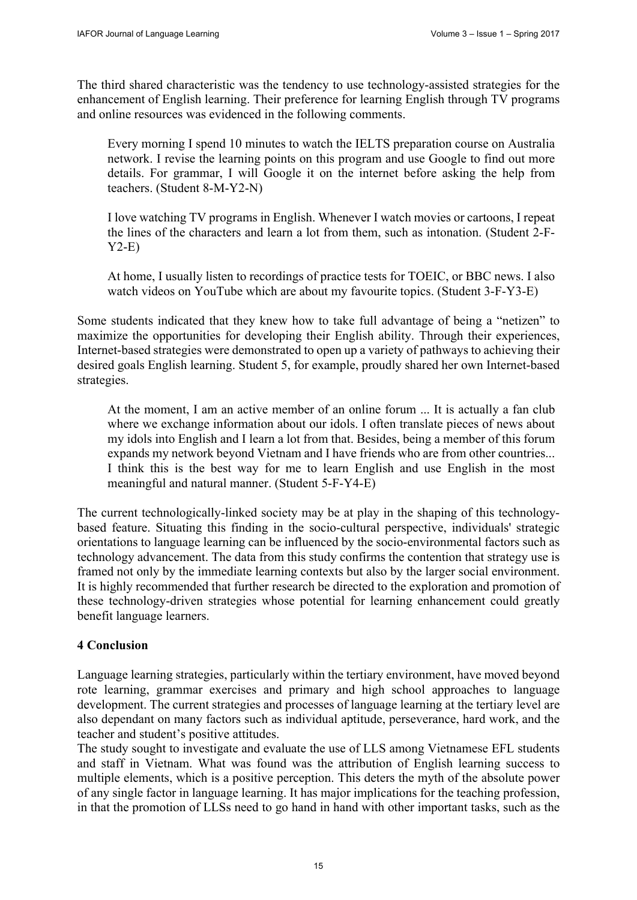The third shared characteristic was the tendency to use technology-assisted strategies for the enhancement of English learning. Their preference for learning English through TV programs and online resources was evidenced in the following comments.

Every morning I spend 10 minutes to watch the IELTS preparation course on Australia network. I revise the learning points on this program and use Google to find out more details. For grammar, I will Google it on the internet before asking the help from teachers. (Student 8-M-Y2-N)

I love watching TV programs in English. Whenever I watch movies or cartoons, I repeat the lines of the characters and learn a lot from them, such as intonation. (Student 2-F-Y2-E)

At home, I usually listen to recordings of practice tests for TOEIC, or BBC news. I also watch videos on YouTube which are about my favourite topics. (Student 3-F-Y3-E)

Some students indicated that they knew how to take full advantage of being a "netizen" to maximize the opportunities for developing their English ability. Through their experiences, Internet-based strategies were demonstrated to open up a variety of pathways to achieving their desired goals English learning. Student 5, for example, proudly shared her own Internet-based strategies.

At the moment, I am an active member of an online forum ... It is actually a fan club where we exchange information about our idols. I often translate pieces of news about my idols into English and I learn a lot from that. Besides, being a member of this forum expands my network beyond Vietnam and I have friends who are from other countries... I think this is the best way for me to learn English and use English in the most meaningful and natural manner. (Student 5-F-Y4-E)

The current technologically-linked society may be at play in the shaping of this technologybased feature. Situating this finding in the socio-cultural perspective, individuals' strategic orientations to language learning can be influenced by the socio-environmental factors such as technology advancement. The data from this study confirms the contention that strategy use is framed not only by the immediate learning contexts but also by the larger social environment. It is highly recommended that further research be directed to the exploration and promotion of these technology-driven strategies whose potential for learning enhancement could greatly benefit language learners.

## **4 Conclusion**

Language learning strategies, particularly within the tertiary environment, have moved beyond rote learning, grammar exercises and primary and high school approaches to language development. The current strategies and processes of language learning at the tertiary level are also dependant on many factors such as individual aptitude, perseverance, hard work, and the teacher and student's positive attitudes.

The study sought to investigate and evaluate the use of LLS among Vietnamese EFL students and staff in Vietnam. What was found was the attribution of English learning success to multiple elements, which is a positive perception. This deters the myth of the absolute power of any single factor in language learning. It has major implications for the teaching profession, in that the promotion of LLSs need to go hand in hand with other important tasks, such as the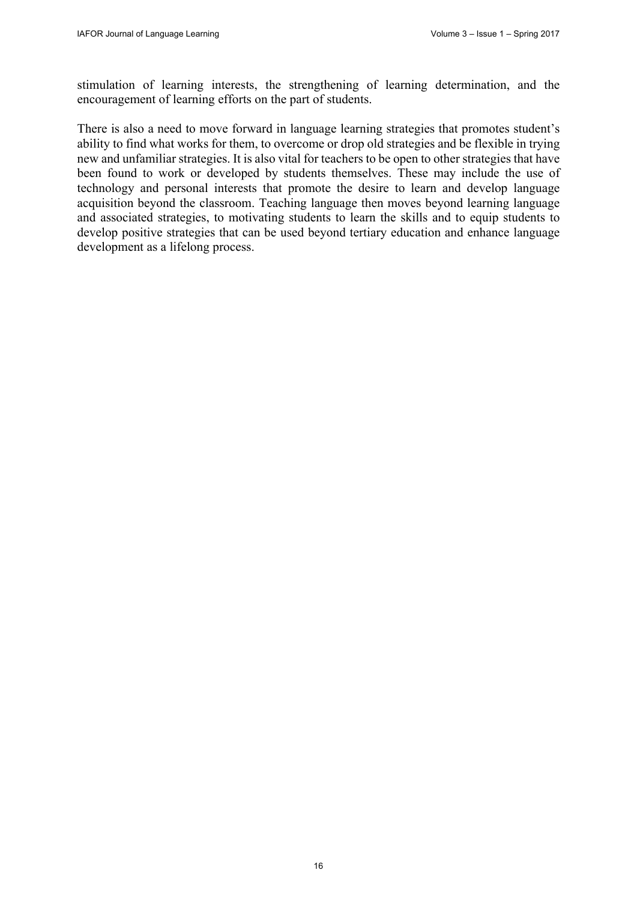stimulation of learning interests, the strengthening of learning determination, and the encouragement of learning efforts on the part of students.

There is also a need to move forward in language learning strategies that promotes student's ability to find what works for them, to overcome or drop old strategies and be flexible in trying new and unfamiliar strategies. It is also vital for teachers to be open to other strategies that have been found to work or developed by students themselves. These may include the use of technology and personal interests that promote the desire to learn and develop language acquisition beyond the classroom. Teaching language then moves beyond learning language and associated strategies, to motivating students to learn the skills and to equip students to develop positive strategies that can be used beyond tertiary education and enhance language development as a lifelong process.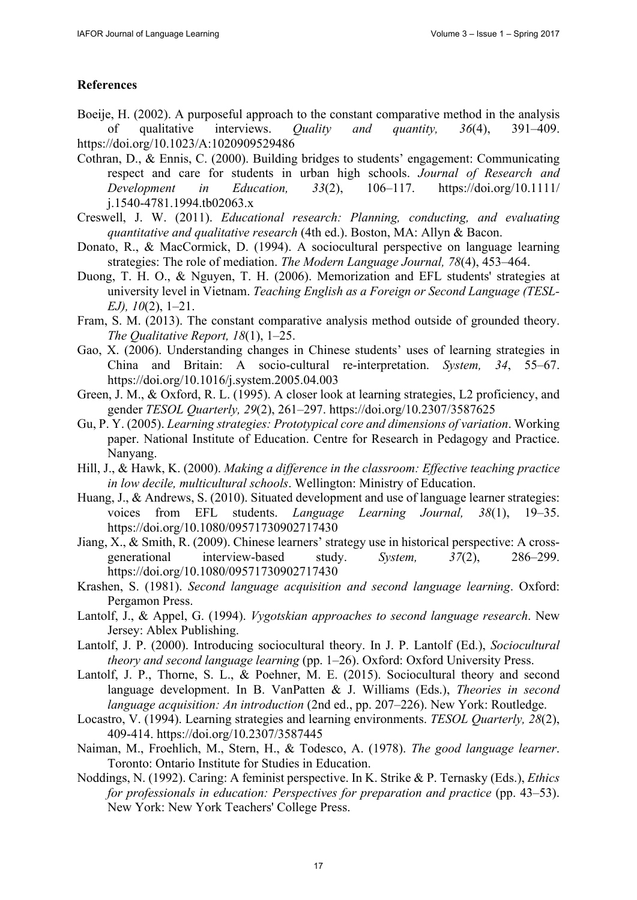## **References**

- Boeije, H. (2002). A purposeful approach to the constant comparative method in the analysis of qualitative interviews. *Quality and quantity, 36*(4), 391–409. https:[//doi.org/10.1023/A:1020909529486](https://doi.org/10.1023/A:1020909529486)
- Cothran, D., & Ennis, C. (2000). Building bridges to students' engagement: Communicating respect and care for students in urban high schools. *Journal of Research and Development in Education, 33*(2), 106–1[17. https://doi.org/10.1111/](https://doi.org/10.1111/j.1540-4781.1994.tb02063.x) [j.1540-4781.1994.tb020](https://doi.org/10.1111/j.1540-4781.1994.tb02063.x)63.x
- Creswell, J. W. (2011). *Educational research: Planning, conducting, and evaluating quantitative and qualitative research* (4th ed.). Boston, MA: Allyn & Bacon.
- Donato, R., & MacCormick, D. (1994). A sociocultural perspective on language learning strategies: The role of mediation. *The Modern Language Journal, 78*(4), 453–464.
- Duong, T. H. O., & Nguyen, T. H. (2006). Memorization and EFL students' strategies at university level in Vietnam. *Teaching English as a Foreign or Second Language (TESL-EJ), 10*(2), 1–21.
- Fram, S. M. (2013). The constant comparative analysis method outside of grounded theory. *The Qualitative Report, 18*(1), 1–25.
- Gao, X. (2006). Understanding changes in Chinese students' uses of learning strategies in China and Britain: A socio-cultural re-interpretation. *System, 34*, 55–67. <https://doi.org/10.1016/j.system.2005.04.003>
- Green, J. M., & Oxford, R. L. (1995). A closer look at learning strategies, L2 proficiency, and gender *TESOL Quarterly, 29*(2), 261–297. <https://doi.org/10.2307/3587625>
- Gu, P. Y. (2005). *Learning strategies: Prototypical core and dimensions of variation*. Working paper. National Institute of Education. Centre for Research in Pedagogy and Practice. Nanyang.
- Hill, J., & Hawk, K. (2000). *Making a difference in the classroom: Effective teaching practice in low decile, multicultural schools*. Wellington: Ministry of Education.
- Huang, J., & Andrews, S. (2010). Situated development and use of language learner strategies: voices from EFL students. *Language Learning Journal, 38*(1), 19–35. <https://doi.org/10.1080/09571730902717430>
- Jiang, X., & Smith, R. (2009). Chinese learners' strategy use in historical perspective: A crossgenerational interview-based study. *System, 37*(2), 286–299. <https://doi.org/10.1080/09571730902717430>
- Krashen, S. (1981). *Second language acquisition and second language learning*. Oxford: Pergamon Press.
- Lantolf, J., & Appel, G. (1994). *Vygotskian approaches to second language research*. New Jersey: Ablex Publishing.
- Lantolf, J. P. (2000). Introducing sociocultural theory. In J. P. Lantolf (Ed.), *Sociocultural theory and second language learning* (pp. 1–26). Oxford: Oxford University Press.
- Lantolf, J. P., Thorne, S. L., & Poehner, M. E. (2015). Sociocultural theory and second language development. In B. VanPatten & J. Williams (Eds.), *Theories in second language acquisition: An introduction* (2nd ed., pp. 207–226). New York: Routledge.
- Locastro, V. (1994). Learning strategies and learning environments. *TESOL Quarterly, 28*(2), 409-414. <https://doi.org/10.2307/3587445>
- Naiman, M., Froehlich, M., Stern, H., & Todesco, A. (1978). *The good language learner*. Toronto: Ontario Institute for Studies in Education.
- Noddings, N. (1992). Caring: A feminist perspective. In K. Strike & P. Ternasky (Eds.), *Ethics for professionals in education: Perspectives for preparation and practice* (pp. 43–53). New York: New York Teachers' College Press.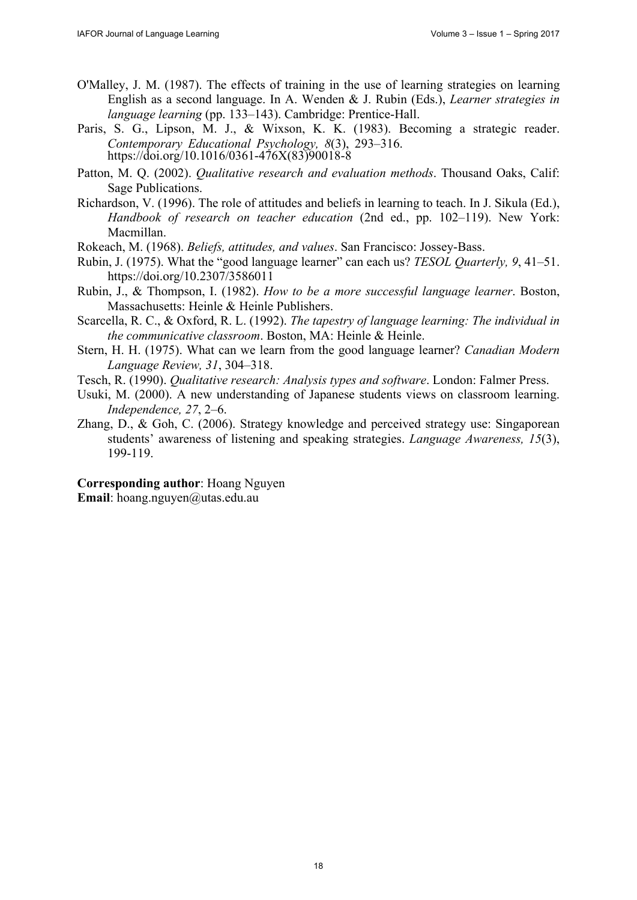- O'Malley, J. M. (1987). The effects of training in the use of learning strategies on learning English as a second language. In A. Wenden & J. Rubin (Eds.), *Learner strategies in language learning* (pp. 133–143). Cambridge: Prentice-Hall.
- Paris, S. G., Lipson, M. J., & Wixson, K. K. (1983). Becoming a strategic reader. *Contemporary Educational Psychology, 8*(3), 293–316. [https://doi.org/10.1016/0361-476X\(83\)90018-8](https://doi.org/10.1016/0361-476X(83)90018-8)
- Patton, M. Q. (2002). *Qualitative research and evaluation methods*. Thousand Oaks, Calif: Sage Publications.
- Richardson, V. (1996). The role of attitudes and beliefs in learning to teach. In J. Sikula (Ed.), *Handbook of research on teacher education* (2nd ed., pp. 102–119). New York: Macmillan.
- Rokeach, M. (1968). *Beliefs, attitudes, and values*. San Francisco: Jossey-Bass.
- Rubin, J. (1975). What the "good language learner" can each us? *TESOL Quarterly, 9*, 41–51. <https://doi.org/10.2307/3586011>
- Rubin, J., & Thompson, I. (1982). *How to be a more successful language learner*. Boston, Massachusetts: Heinle & Heinle Publishers.
- Scarcella, R. C., & Oxford, R. L. (1992). *The tapestry of language learning: The individual in the communicative classroom*. Boston, MA: Heinle & Heinle.
- Stern, H. H. (1975). What can we learn from the good language learner? *Canadian Modern Language Review, 31*, 304–318.
- Tesch, R. (1990). *Qualitative research: Analysis types and software*. London: Falmer Press.
- Usuki, M. (2000). A new understanding of Japanese students views on classroom learning. *Independence, 27*, 2–6.
- Zhang, D., & Goh, C. (2006). Strategy knowledge and perceived strategy use: Singaporean students' awareness of listening and speaking strategies. *Language Awareness, 15*(3), 199-119.

**Corresponding author**: Hoang Nguyen **Email**: [hoang.nguyen@utas.edu.au](mailto:hoang.nguyen@utas.edu.au)